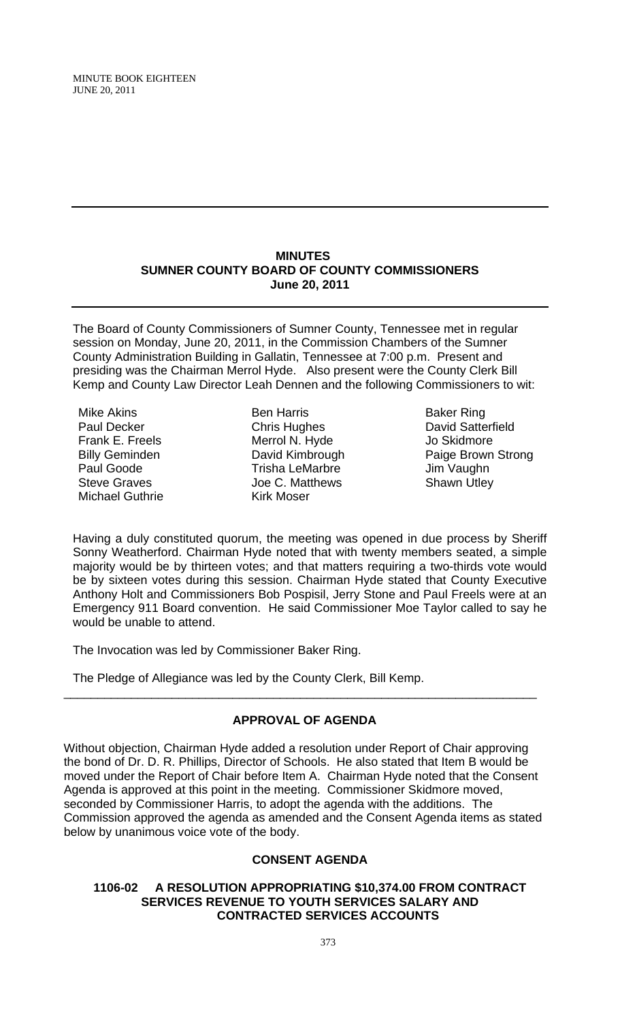MINUTE BOOK EIGHTEEN JUNE 20, 2011

#### **MINUTES SUMNER COUNTY BOARD OF COUNTY COMMISSIONERS June 20, 2011**

The Board of County Commissioners of Sumner County, Tennessee met in regular session on Monday, June 20, 2011, in the Commission Chambers of the Sumner County Administration Building in Gallatin, Tennessee at 7:00 p.m. Present and presiding was the Chairman Merrol Hyde. Also present were the County Clerk Bill Kemp and County Law Director Leah Dennen and the following Commissioners to wit:

Mike Akins Paul Decker Frank E. Freels Billy Geminden Paul Goode Steve Graves Michael Guthrie

Ben Harris Chris Hughes Merrol N. Hyde David Kimbrough Trisha LeMarbre Joe C. Matthews Kirk Moser

Baker Ring David Satterfield Jo Skidmore Paige Brown Strong Jim Vaughn Shawn Utley

Having a duly constituted quorum, the meeting was opened in due process by Sheriff Sonny Weatherford. Chairman Hyde noted that with twenty members seated, a simple majority would be by thirteen votes; and that matters requiring a two-thirds vote would be by sixteen votes during this session. Chairman Hyde stated that County Executive Anthony Holt and Commissioners Bob Pospisil, Jerry Stone and Paul Freels were at an Emergency 911 Board convention. He said Commissioner Moe Taylor called to say he would be unable to attend.

The Invocation was led by Commissioner Baker Ring.

The Pledge of Allegiance was led by the County Clerk, Bill Kemp.

## **APPROVAL OF AGENDA**

\_\_\_\_\_\_\_\_\_\_\_\_\_\_\_\_\_\_\_\_\_\_\_\_\_\_\_\_\_\_\_\_\_\_\_\_\_\_\_\_\_\_\_\_\_\_\_\_\_\_\_\_\_\_\_\_\_\_\_\_\_\_\_\_\_\_\_\_\_\_

Without objection, Chairman Hyde added a resolution under Report of Chair approving the bond of Dr. D. R. Phillips, Director of Schools. He also stated that Item B would be moved under the Report of Chair before Item A. Chairman Hyde noted that the Consent Agenda is approved at this point in the meeting. Commissioner Skidmore moved, seconded by Commissioner Harris, to adopt the agenda with the additions. The Commission approved the agenda as amended and the Consent Agenda items as stated below by unanimous voice vote of the body.

## **CONSENT AGENDA**

#### **1106-02 A RESOLUTION APPROPRIATING \$10,374.00 FROM CONTRACT SERVICES REVENUE TO YOUTH SERVICES SALARY AND CONTRACTED SERVICES ACCOUNTS**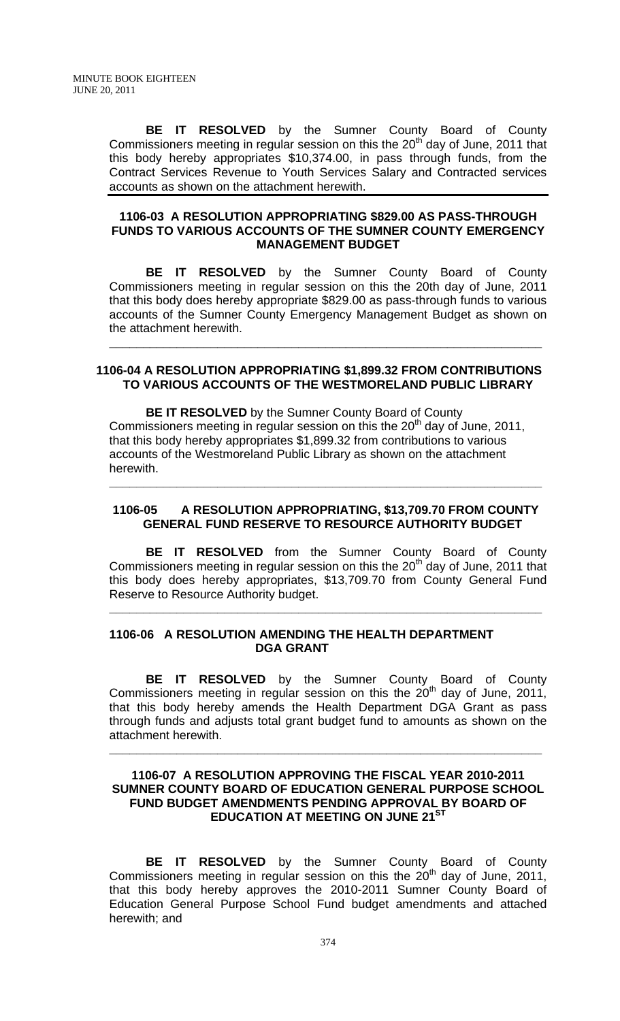**BE IT RESOLVED** by the Sumner County Board of County Commissioners meeting in regular session on this the  $20<sup>th</sup>$  day of June, 2011 that this body hereby appropriates \$10,374.00, in pass through funds, from the Contract Services Revenue to Youth Services Salary and Contracted services accounts as shown on the attachment herewith.

### **1106-03 A RESOLUTION APPROPRIATING \$829.00 AS PASS-THROUGH FUNDS TO VARIOUS ACCOUNTS OF THE SUMNER COUNTY EMERGENCY MANAGEMENT BUDGET**

 **BE IT RESOLVED** by the Sumner County Board of County Commissioners meeting in regular session on this the 20th day of June, 2011 that this body does hereby appropriate \$829.00 as pass-through funds to various accounts of the Sumner County Emergency Management Budget as shown on the attachment herewith.

#### **1106-04 A RESOLUTION APPROPRIATING \$1,899.32 FROM CONTRIBUTIONS TO VARIOUS ACCOUNTS OF THE WESTMORELAND PUBLIC LIBRARY**

**\_\_\_\_\_\_\_\_\_\_\_\_\_\_\_\_\_\_\_\_\_\_\_\_\_\_\_\_\_\_\_\_\_\_\_\_\_\_\_\_\_\_\_\_\_\_\_\_\_\_\_\_\_\_\_\_\_\_\_\_\_\_\_\_**

 **BE IT RESOLVED** by the Sumner County Board of County Commissioners meeting in regular session on this the  $20<sup>th</sup>$  day of June, 2011, that this body hereby appropriates \$1,899.32 from contributions to various accounts of the Westmoreland Public Library as shown on the attachment herewith.

#### **1106-05 A RESOLUTION APPROPRIATING, \$13,709.70 FROM COUNTY GENERAL FUND RESERVE TO RESOURCE AUTHORITY BUDGET**

**\_\_\_\_\_\_\_\_\_\_\_\_\_\_\_\_\_\_\_\_\_\_\_\_\_\_\_\_\_\_\_\_\_\_\_\_\_\_\_\_\_\_\_\_\_\_\_\_\_\_\_\_\_\_\_\_\_\_\_\_\_\_\_\_**

**BE IT RESOLVED** from the Sumner County Board of County Commissioners meeting in regular session on this the  $20<sup>th</sup>$  day of June, 2011 that this body does hereby appropriates, \$13,709.70 from County General Fund Reserve to Resource Authority budget.

**\_\_\_\_\_\_\_\_\_\_\_\_\_\_\_\_\_\_\_\_\_\_\_\_\_\_\_\_\_\_\_\_\_\_\_\_\_\_\_\_\_\_\_\_\_\_\_\_\_\_\_\_\_\_\_\_\_\_\_\_\_\_\_\_** 

## **1106-06 A RESOLUTION AMENDING THE HEALTH DEPARTMENT DGA GRANT**

**BE IT RESOLVED** by the Sumner County Board of County Commissioners meeting in regular session on this the  $20<sup>th</sup>$  day of June, 2011, that this body hereby amends the Health Department DGA Grant as pass through funds and adjusts total grant budget fund to amounts as shown on the attachment herewith.

## **1106-07 A RESOLUTION APPROVING THE FISCAL YEAR 2010-2011 SUMNER COUNTY BOARD OF EDUCATION GENERAL PURPOSE SCHOOL FUND BUDGET AMENDMENTS PENDING APPROVAL BY BOARD OF EDUCATION AT MEETING ON JUNE 21ST**

**\_\_\_\_\_\_\_\_\_\_\_\_\_\_\_\_\_\_\_\_\_\_\_\_\_\_\_\_\_\_\_\_\_\_\_\_\_\_\_\_\_\_\_\_\_\_\_\_\_\_\_\_\_\_\_\_\_\_\_\_\_\_\_\_**

 **BE IT RESOLVED** by the Sumner County Board of County Commissioners meeting in regular session on this the  $20^{th}$  day of June, 2011, that this body hereby approves the 2010-2011 Sumner County Board of Education General Purpose School Fund budget amendments and attached herewith; and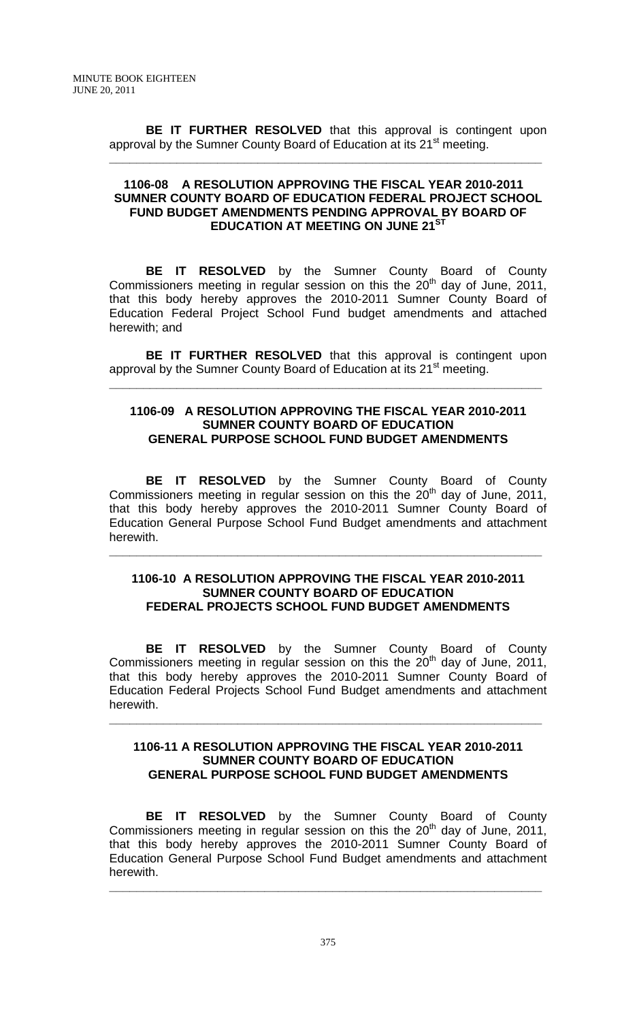**BE IT FURTHER RESOLVED** that this approval is contingent upon approval by the Sumner County Board of Education at its 21<sup>st</sup> meeting.

**\_\_\_\_\_\_\_\_\_\_\_\_\_\_\_\_\_\_\_\_\_\_\_\_\_\_\_\_\_\_\_\_\_\_\_\_\_\_\_\_\_\_\_\_\_\_\_\_\_\_\_\_\_\_\_\_\_\_\_\_\_\_\_\_**

## **1106-08 A RESOLUTION APPROVING THE FISCAL YEAR 2010-2011 SUMNER COUNTY BOARD OF EDUCATION FEDERAL PROJECT SCHOOL FUND BUDGET AMENDMENTS PENDING APPROVAL BY BOARD OF EDUCATION AT MEETING ON JUNE 21ST**

 **BE IT RESOLVED** by the Sumner County Board of County Commissioners meeting in regular session on this the  $20<sup>th</sup>$  day of June, 2011, that this body hereby approves the 2010-2011 Sumner County Board of Education Federal Project School Fund budget amendments and attached herewith; and

**BE IT FURTHER RESOLVED** that this approval is contingent upon approval by the Sumner County Board of Education at its 21<sup>st</sup> meeting.

**\_\_\_\_\_\_\_\_\_\_\_\_\_\_\_\_\_\_\_\_\_\_\_\_\_\_\_\_\_\_\_\_\_\_\_\_\_\_\_\_\_\_\_\_\_\_\_\_\_\_\_\_\_\_\_\_\_\_\_\_\_\_\_\_**

## **1106-09 A RESOLUTION APPROVING THE FISCAL YEAR 2010-2011 SUMNER COUNTY BOARD OF EDUCATION GENERAL PURPOSE SCHOOL FUND BUDGET AMENDMENTS**

 **BE IT RESOLVED** by the Sumner County Board of County Commissioners meeting in regular session on this the  $20<sup>th</sup>$  day of June, 2011, that this body hereby approves the 2010-2011 Sumner County Board of Education General Purpose School Fund Budget amendments and attachment herewith.

**\_\_\_\_\_\_\_\_\_\_\_\_\_\_\_\_\_\_\_\_\_\_\_\_\_\_\_\_\_\_\_\_\_\_\_\_\_\_\_\_\_\_\_\_\_\_\_\_\_\_\_\_\_\_\_\_\_\_\_\_\_\_\_\_**

#### **1106-10 A RESOLUTION APPROVING THE FISCAL YEAR 2010-2011 SUMNER COUNTY BOARD OF EDUCATION FEDERAL PROJECTS SCHOOL FUND BUDGET AMENDMENTS**

**BE IT RESOLVED** by the Sumner County Board of County Commissioners meeting in regular session on this the  $20<sup>th</sup>$  day of June, 2011, that this body hereby approves the 2010-2011 Sumner County Board of Education Federal Projects School Fund Budget amendments and attachment herewith.

## **1106-11 A RESOLUTION APPROVING THE FISCAL YEAR 2010-2011 SUMNER COUNTY BOARD OF EDUCATION GENERAL PURPOSE SCHOOL FUND BUDGET AMENDMENTS**

**\_\_\_\_\_\_\_\_\_\_\_\_\_\_\_\_\_\_\_\_\_\_\_\_\_\_\_\_\_\_\_\_\_\_\_\_\_\_\_\_\_\_\_\_\_\_\_\_\_\_\_\_\_\_\_\_\_\_\_\_\_\_\_\_**

 **BE IT RESOLVED** by the Sumner County Board of County Commissioners meeting in regular session on this the 20th day of June, 2011, that this body hereby approves the 2010-2011 Sumner County Board of Education General Purpose School Fund Budget amendments and attachment herewith.

**\_\_\_\_\_\_\_\_\_\_\_\_\_\_\_\_\_\_\_\_\_\_\_\_\_\_\_\_\_\_\_\_\_\_\_\_\_\_\_\_\_\_\_\_\_\_\_\_\_\_\_\_\_\_\_\_\_\_\_\_\_\_\_\_**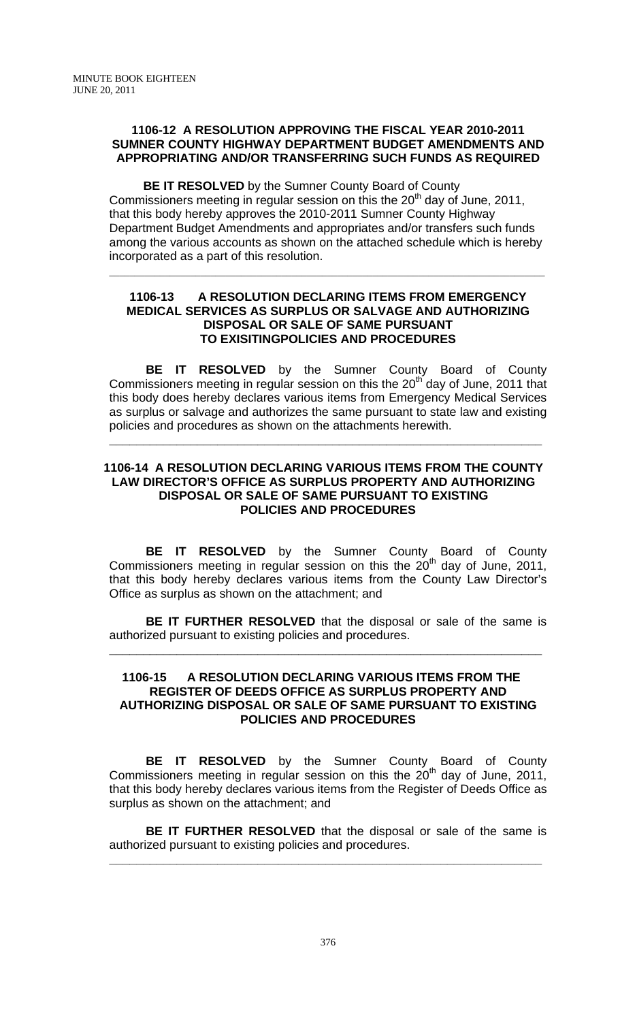## **1106-12 A RESOLUTION APPROVING THE FISCAL YEAR 2010-2011 SUMNER COUNTY HIGHWAY DEPARTMENT BUDGET AMENDMENTS AND APPROPRIATING AND/OR TRANSFERRING SUCH FUNDS AS REQUIRED**

 **BE IT RESOLVED** by the Sumner County Board of County Commissioners meeting in regular session on this the 20<sup>th</sup> day of June, 2011, that this body hereby approves the 2010-2011 Sumner County Highway Department Budget Amendments and appropriates and/or transfers such funds among the various accounts as shown on the attached schedule which is hereby incorporated as a part of this resolution.

\_\_\_\_\_\_\_\_\_\_\_\_\_\_\_\_\_\_\_\_\_\_\_\_\_\_\_\_\_\_\_\_\_\_\_\_\_\_\_\_\_\_\_\_\_\_\_\_\_\_\_\_\_\_\_\_\_\_\_\_\_\_\_\_\_\_\_\_\_\_\_\_\_\_\_\_\_\_\_\_\_\_\_\_\_\_

## **1106-13 A RESOLUTION DECLARING ITEMS FROM EMERGENCY MEDICAL SERVICES AS SURPLUS OR SALVAGE AND AUTHORIZING DISPOSAL OR SALE OF SAME PURSUANT TO EXISITINGPOLICIES AND PROCEDURES**

 **BE IT RESOLVED** by the Sumner County Board of County Commissioners meeting in regular session on this the  $20<sup>th</sup>$  day of June, 2011 that this body does hereby declares various items from Emergency Medical Services as surplus or salvage and authorizes the same pursuant to state law and existing policies and procedures as shown on the attachments herewith.

## **1106-14 A RESOLUTION DECLARING VARIOUS ITEMS FROM THE COUNTY LAW DIRECTOR'S OFFICE AS SURPLUS PROPERTY AND AUTHORIZING DISPOSAL OR SALE OF SAME PURSUANT TO EXISTING POLICIES AND PROCEDURES**

**\_\_\_\_\_\_\_\_\_\_\_\_\_\_\_\_\_\_\_\_\_\_\_\_\_\_\_\_\_\_\_\_\_\_\_\_\_\_\_\_\_\_\_\_\_\_\_\_\_\_\_\_\_\_\_\_\_\_\_\_\_\_\_\_**

**BE IT RESOLVED** by the Sumner County Board of County Commissioners meeting in regular session on this the  $20<sup>th</sup>$  day of June, 2011, that this body hereby declares various items from the County Law Director's Office as surplus as shown on the attachment; and

**BE IT FURTHER RESOLVED** that the disposal or sale of the same is authorized pursuant to existing policies and procedures.

**\_\_\_\_\_\_\_\_\_\_\_\_\_\_\_\_\_\_\_\_\_\_\_\_\_\_\_\_\_\_\_\_\_\_\_\_\_\_\_\_\_\_\_\_\_\_\_\_\_\_\_\_\_\_\_\_\_\_\_\_\_\_\_\_**

## **1106-15 A RESOLUTION DECLARING VARIOUS ITEMS FROM THE REGISTER OF DEEDS OFFICE AS SURPLUS PROPERTY AND AUTHORIZING DISPOSAL OR SALE OF SAME PURSUANT TO EXISTING POLICIES AND PROCEDURES**

**BE IT RESOLVED** by the Sumner County Board of County Commissioners meeting in regular session on this the  $20<sup>th</sup>$  day of June, 2011, that this body hereby declares various items from the Register of Deeds Office as surplus as shown on the attachment; and

**BE IT FURTHER RESOLVED** that the disposal or sale of the same is authorized pursuant to existing policies and procedures.

**\_\_\_\_\_\_\_\_\_\_\_\_\_\_\_\_\_\_\_\_\_\_\_\_\_\_\_\_\_\_\_\_\_\_\_\_\_\_\_\_\_\_\_\_\_\_\_\_\_\_\_\_\_\_\_\_\_\_\_\_\_\_\_\_**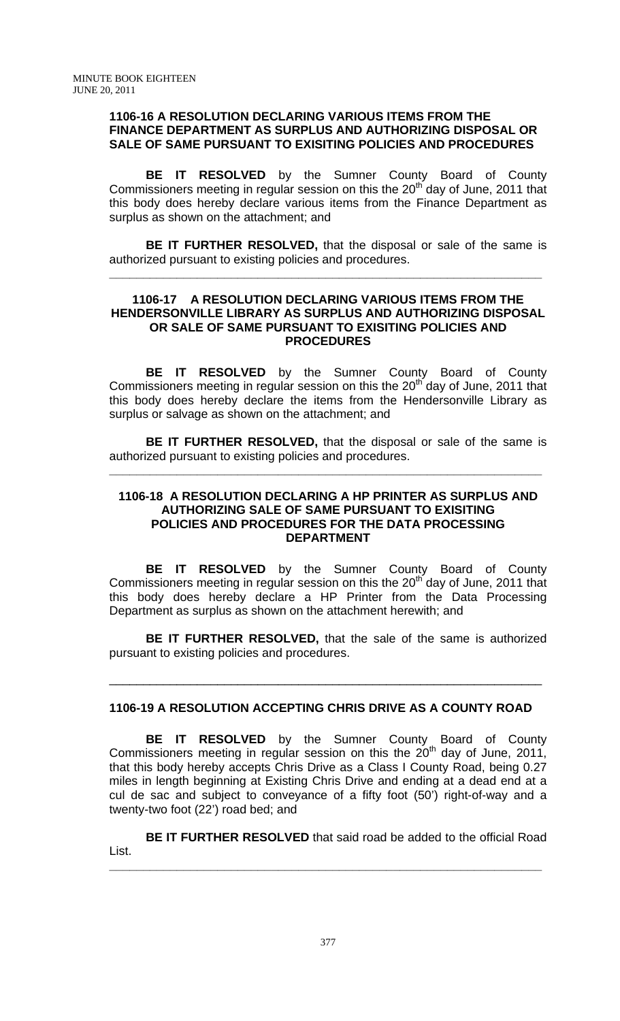#### **1106-16 A RESOLUTION DECLARING VARIOUS ITEMS FROM THE FINANCE DEPARTMENT AS SURPLUS AND AUTHORIZING DISPOSAL OR SALE OF SAME PURSUANT TO EXISITING POLICIES AND PROCEDURES**

 **BE IT RESOLVED** by the Sumner County Board of County Commissioners meeting in regular session on this the  $20<sup>th</sup>$  day of June, 2011 that this body does hereby declare various items from the Finance Department as surplus as shown on the attachment; and

**BE IT FURTHER RESOLVED,** that the disposal or sale of the same is authorized pursuant to existing policies and procedures.

**\_\_\_\_\_\_\_\_\_\_\_\_\_\_\_\_\_\_\_\_\_\_\_\_\_\_\_\_\_\_\_\_\_\_\_\_\_\_\_\_\_\_\_\_\_\_\_\_\_\_\_\_\_\_\_\_\_\_\_\_\_\_\_\_**

#### **1106-17 A RESOLUTION DECLARING VARIOUS ITEMS FROM THE HENDERSONVILLE LIBRARY AS SURPLUS AND AUTHORIZING DISPOSAL OR SALE OF SAME PURSUANT TO EXISITING POLICIES AND PROCEDURES**

 **BE IT RESOLVED** by the Sumner County Board of County Commissioners meeting in regular session on this the  $20<sup>th</sup>$  day of June, 2011 that this body does hereby declare the items from the Hendersonville Library as surplus or salvage as shown on the attachment; and

**BE IT FURTHER RESOLVED,** that the disposal or sale of the same is authorized pursuant to existing policies and procedures.

**\_\_\_\_\_\_\_\_\_\_\_\_\_\_\_\_\_\_\_\_\_\_\_\_\_\_\_\_\_\_\_\_\_\_\_\_\_\_\_\_\_\_\_\_\_\_\_\_\_\_\_\_\_\_\_\_\_\_\_\_\_\_\_\_**

## **1106-18 A RESOLUTION DECLARING A HP PRINTER AS SURPLUS AND AUTHORIZING SALE OF SAME PURSUANT TO EXISITING POLICIES AND PROCEDURES FOR THE DATA PROCESSING DEPARTMENT**

 **BE IT RESOLVED** by the Sumner County Board of County Commissioners meeting in regular session on this the  $20<sup>th</sup>$  day of June, 2011 that this body does hereby declare a HP Printer from the Data Processing Department as surplus as shown on the attachment herewith; and

**BE IT FURTHER RESOLVED,** that the sale of the same is authorized pursuant to existing policies and procedures.

## **1106-19 A RESOLUTION ACCEPTING CHRIS DRIVE AS A COUNTY ROAD**

\_\_\_\_\_\_\_\_\_\_\_\_\_\_\_\_\_\_\_\_\_\_\_\_\_\_\_\_\_\_\_\_\_\_\_\_\_\_\_\_\_\_\_\_\_\_\_\_\_\_\_\_\_\_\_\_\_\_\_\_\_\_\_\_

**BE IT RESOLVED** by the Sumner County Board of County Commissioners meeting in regular session on this the 20<sup>th</sup> day of June, 2011, that this body hereby accepts Chris Drive as a Class I County Road, being 0.27 miles in length beginning at Existing Chris Drive and ending at a dead end at a cul de sac and subject to conveyance of a fifty foot (50') right-of-way and a twenty-two foot (22') road bed; and

**BE IT FURTHER RESOLVED** that said road be added to the official Road List. **\_\_\_\_\_\_\_\_\_\_\_\_\_\_\_\_\_\_\_\_\_\_\_\_\_\_\_\_\_\_\_\_\_\_\_\_\_\_\_\_\_\_\_\_\_\_\_\_\_\_\_\_\_\_\_\_\_\_\_\_\_\_\_\_**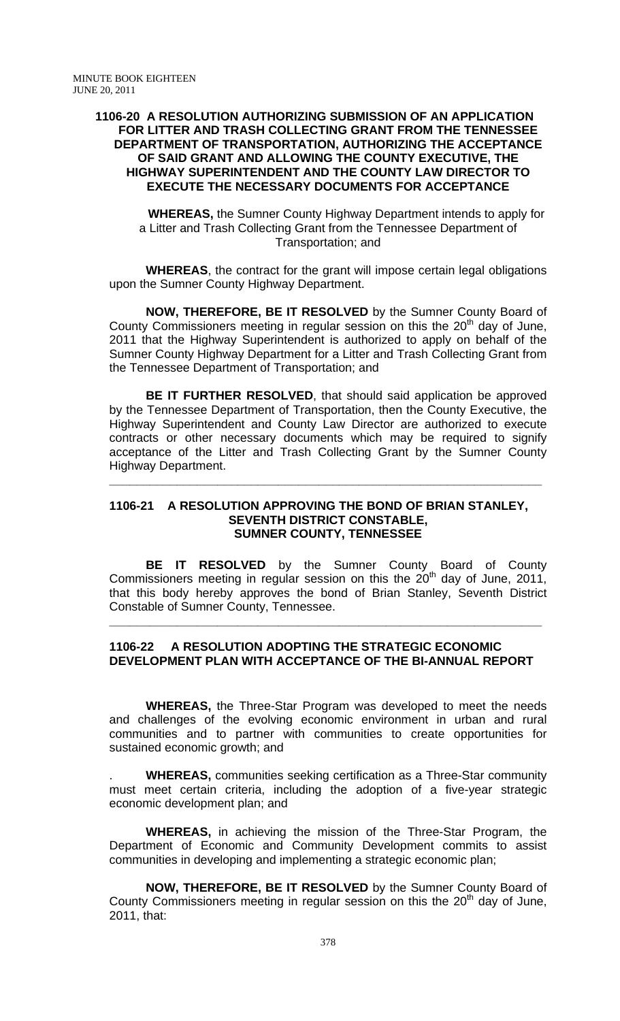#### **1106-20 A RESOLUTION AUTHORIZING SUBMISSION OF AN APPLICATION FOR LITTER AND TRASH COLLECTING GRANT FROM THE TENNESSEE DEPARTMENT OF TRANSPORTATION, AUTHORIZING THE ACCEPTANCE OF SAID GRANT AND ALLOWING THE COUNTY EXECUTIVE, THE HIGHWAY SUPERINTENDENT AND THE COUNTY LAW DIRECTOR TO EXECUTE THE NECESSARY DOCUMENTS FOR ACCEPTANCE**

**WHEREAS,** the Sumner County Highway Department intends to apply for a Litter and Trash Collecting Grant from the Tennessee Department of Transportation; and

**WHEREAS**, the contract for the grant will impose certain legal obligations upon the Sumner County Highway Department.

**NOW, THEREFORE, BE IT RESOLVED** by the Sumner County Board of County Commissioners meeting in regular session on this the  $20<sup>th</sup>$  day of June, 2011 that the Highway Superintendent is authorized to apply on behalf of the Sumner County Highway Department for a Litter and Trash Collecting Grant from the Tennessee Department of Transportation; and

**BE IT FURTHER RESOLVED**, that should said application be approved by the Tennessee Department of Transportation, then the County Executive, the Highway Superintendent and County Law Director are authorized to execute contracts or other necessary documents which may be required to signify acceptance of the Litter and Trash Collecting Grant by the Sumner County Highway Department.

#### **1106-21 A RESOLUTION APPROVING THE BOND OF BRIAN STANLEY, SEVENTH DISTRICT CONSTABLE, SUMNER COUNTY, TENNESSEE**

**\_\_\_\_\_\_\_\_\_\_\_\_\_\_\_\_\_\_\_\_\_\_\_\_\_\_\_\_\_\_\_\_\_\_\_\_\_\_\_\_\_\_\_\_\_\_\_\_\_\_\_\_\_\_\_\_\_\_\_\_\_\_\_\_**

**BE IT RESOLVED** by the Sumner County Board of County Commissioners meeting in regular session on this the  $20<sup>th</sup>$  day of June, 2011, that this body hereby approves the bond of Brian Stanley, Seventh District Constable of Sumner County, Tennessee.

## **1106-22 A RESOLUTION ADOPTING THE STRATEGIC ECONOMIC DEVELOPMENT PLAN WITH ACCEPTANCE OF THE BI-ANNUAL REPORT**

**\_\_\_\_\_\_\_\_\_\_\_\_\_\_\_\_\_\_\_\_\_\_\_\_\_\_\_\_\_\_\_\_\_\_\_\_\_\_\_\_\_\_\_\_\_\_\_\_\_\_\_\_\_\_\_\_\_\_\_\_\_\_\_\_**

 **WHEREAS,** the Three-Star Program was developed to meet the needs and challenges of the evolving economic environment in urban and rural communities and to partner with communities to create opportunities for sustained economic growth; and

. **WHEREAS,** communities seeking certification as a Three-Star community must meet certain criteria, including the adoption of a five-year strategic economic development plan; and

**WHEREAS,** in achieving the mission of the Three-Star Program, the Department of Economic and Community Development commits to assist communities in developing and implementing a strategic economic plan;

**NOW, THEREFORE, BE IT RESOLVED** by the Sumner County Board of County Commissioners meeting in regular session on this the  $20<sup>th</sup>$  day of June, 2011, that: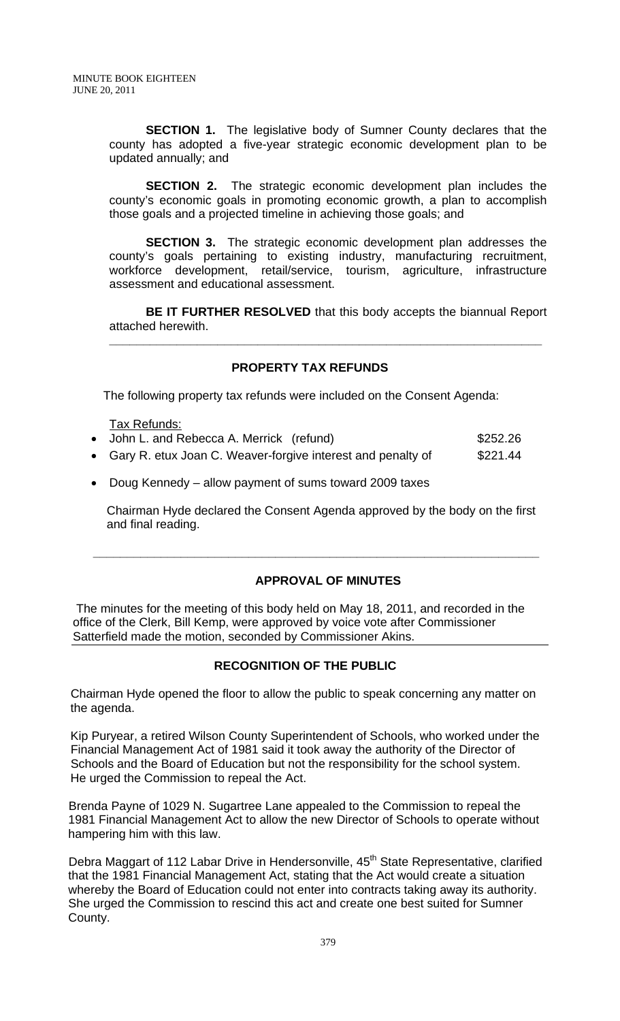**SECTION 1.** The legislative body of Sumner County declares that the county has adopted a five-year strategic economic development plan to be updated annually; and

**SECTION 2.** The strategic economic development plan includes the county's economic goals in promoting economic growth, a plan to accomplish those goals and a projected timeline in achieving those goals; and

**SECTION 3.** The strategic economic development plan addresses the county's goals pertaining to existing industry, manufacturing recruitment, workforce development, retail/service, tourism, agriculture, infrastructure assessment and educational assessment.

**BE IT FURTHER RESOLVED** that this body accepts the biannual Report attached herewith.

**\_\_\_\_\_\_\_\_\_\_\_\_\_\_\_\_\_\_\_\_\_\_\_\_\_\_\_\_\_\_\_\_\_\_\_\_\_\_\_\_\_\_\_\_\_\_\_\_\_\_\_\_\_\_\_\_\_\_\_\_\_\_\_\_**

## **PROPERTY TAX REFUNDS**

The following property tax refunds were included on the Consent Agenda:

Tax Refunds:

- John L. and Rebecca A. Merrick (refund)  $$252.26$
- Gary R. etux Joan C. Weaver-forgive interest and penalty of \$221.44

 **\_\_\_\_\_\_\_\_\_\_\_\_\_\_\_\_\_\_\_\_\_\_\_\_\_\_\_\_\_\_\_\_\_\_\_\_\_\_\_\_\_\_\_\_\_\_\_\_\_\_\_\_\_\_\_\_\_\_\_\_\_\_\_\_\_\_** 

• Doug Kennedy – allow payment of sums toward 2009 taxes

 Chairman Hyde declared the Consent Agenda approved by the body on the first and final reading.

## **APPROVAL OF MINUTES**

 The minutes for the meeting of this body held on May 18, 2011, and recorded in the office of the Clerk, Bill Kemp, were approved by voice vote after Commissioner Satterfield made the motion, seconded by Commissioner Akins.

## **RECOGNITION OF THE PUBLIC**

 Chairman Hyde opened the floor to allow the public to speak concerning any matter on the agenda.

 Kip Puryear, a retired Wilson County Superintendent of Schools, who worked under the Financial Management Act of 1981 said it took away the authority of the Director of Schools and the Board of Education but not the responsibility for the school system. He urged the Commission to repeal the Act.

Brenda Payne of 1029 N. Sugartree Lane appealed to the Commission to repeal the 1981 Financial Management Act to allow the new Director of Schools to operate without hampering him with this law.

Debra Maggart of 112 Labar Drive in Hendersonville, 45<sup>th</sup> State Representative, clarified that the 1981 Financial Management Act, stating that the Act would create a situation whereby the Board of Education could not enter into contracts taking away its authority. She urged the Commission to rescind this act and create one best suited for Sumner County.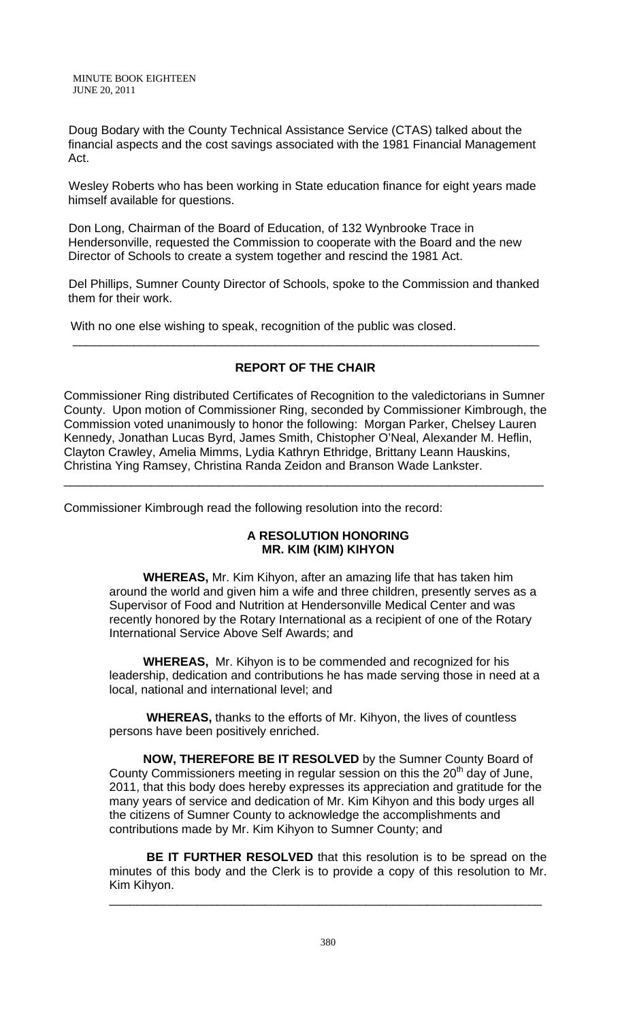MINUTE BOOK EIGHTEEN JUNE 20, 2011

Doug Bodary with the County Technical Assistance Service (CTAS) talked about the financial aspects and the cost savings associated with the 1981 Financial Management Act.

Wesley Roberts who has been working in State education finance for eight years made himself available for questions.

Don Long, Chairman of the Board of Education, of 132 Wynbrooke Trace in Hendersonville, requested the Commission to cooperate with the Board and the new Director of Schools to create a system together and rescind the 1981 Act.

Del Phillips, Sumner County Director of Schools, spoke to the Commission and thanked them for their work.

With no one else wishing to speak, recognition of the public was closed.

# **REPORT OF THE CHAIR**

\_\_\_\_\_\_\_\_\_\_\_\_\_\_\_\_\_\_\_\_\_\_\_\_\_\_\_\_\_\_\_\_\_\_\_\_\_\_\_\_\_\_\_\_\_\_\_\_\_\_\_\_\_\_\_\_\_\_\_\_\_\_\_\_\_\_\_\_\_

Commissioner Ring distributed Certificates of Recognition to the valedictorians in Sumner County. Upon motion of Commissioner Ring, seconded by Commissioner Kimbrough, the Commission voted unanimously to honor the following: Morgan Parker, Chelsey Lauren Kennedy, Jonathan Lucas Byrd, James Smith, Chistopher O'Neal, Alexander M. Heflin, Clayton Crawley, Amelia Mimms, Lydia Kathryn Ethridge, Brittany Leann Hauskins, Christina Ying Ramsey, Christina Randa Zeidon and Branson Wade Lankster.

\_\_\_\_\_\_\_\_\_\_\_\_\_\_\_\_\_\_\_\_\_\_\_\_\_\_\_\_\_\_\_\_\_\_\_\_\_\_\_\_\_\_\_\_\_\_\_\_\_\_\_\_\_\_\_\_\_\_\_\_\_\_\_\_\_\_\_\_\_\_\_

Commissioner Kimbrough read the following resolution into the record:

## **A RESOLUTION HONORING MR. KIM (KIM) KIHYON**

 **WHEREAS,** Mr. Kim Kihyon, after an amazing life that has taken him around the world and given him a wife and three children, presently serves as a Supervisor of Food and Nutrition at Hendersonville Medical Center and was recently honored by the Rotary International as a recipient of one of the Rotary International Service Above Self Awards; and

 **WHEREAS,** Mr. Kihyon is to be commended and recognized for his leadership, dedication and contributions he has made serving those in need at a local, national and international level; and

 **WHEREAS,** thanks to the efforts of Mr. Kihyon, the lives of countless persons have been positively enriched.

 **NOW, THEREFORE BE IT RESOLVED** by the Sumner County Board of County Commissioners meeting in regular session on this the  $20<sup>th</sup>$  day of June, 2011, that this body does hereby expresses its appreciation and gratitude for the many years of service and dedication of Mr. Kim Kihyon and this body urges all the citizens of Sumner County to acknowledge the accomplishments and contributions made by Mr. Kim Kihyon to Sumner County; and

**BE IT FURTHER RESOLVED** that this resolution is to be spread on the minutes of this body and the Clerk is to provide a copy of this resolution to Mr. Kim Kihyon.

\_\_\_\_\_\_\_\_\_\_\_\_\_\_\_\_\_\_\_\_\_\_\_\_\_\_\_\_\_\_\_\_\_\_\_\_\_\_\_\_\_\_\_\_\_\_\_\_\_\_\_\_\_\_\_\_\_\_\_\_\_\_\_\_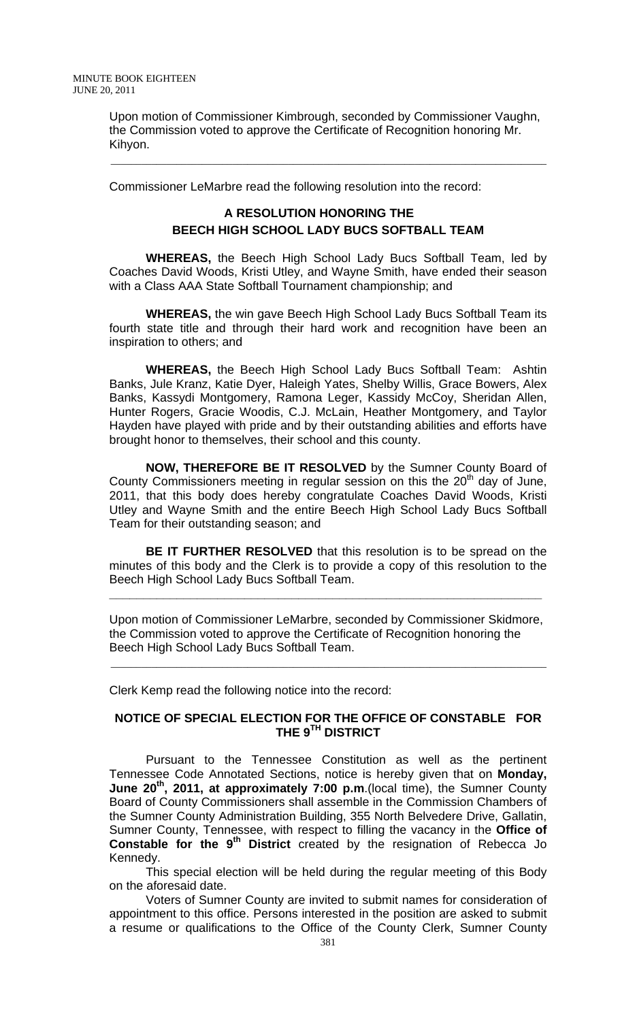Upon motion of Commissioner Kimbrough, seconded by Commissioner Vaughn, the Commission voted to approve the Certificate of Recognition honoring Mr. Kihyon.

Commissioner LeMarbre read the following resolution into the record:

\_\_\_\_\_\_\_\_\_\_\_\_\_\_\_\_\_\_\_\_\_\_\_\_\_\_\_\_\_\_\_\_\_\_\_\_\_\_\_\_\_\_\_\_\_\_\_\_\_\_\_\_\_\_\_\_\_\_\_\_\_\_\_\_\_\_\_\_\_\_\_\_\_\_\_\_\_\_\_\_\_\_\_\_\_\_

# **A RESOLUTION HONORING THE BEECH HIGH SCHOOL LADY BUCS SOFTBALL TEAM**

**WHEREAS,** the Beech High School Lady Bucs Softball Team, led by Coaches David Woods, Kristi Utley, and Wayne Smith, have ended their season with a Class AAA State Softball Tournament championship; and

**WHEREAS,** the win gave Beech High School Lady Bucs Softball Team its fourth state title and through their hard work and recognition have been an inspiration to others; and

**WHEREAS,** the Beech High School Lady Bucs Softball Team: Ashtin Banks, Jule Kranz, Katie Dyer, Haleigh Yates, Shelby Willis, Grace Bowers, Alex Banks, Kassydi Montgomery, Ramona Leger, Kassidy McCoy, Sheridan Allen, Hunter Rogers, Gracie Woodis, C.J. McLain, Heather Montgomery, and Taylor Hayden have played with pride and by their outstanding abilities and efforts have brought honor to themselves, their school and this county.

**NOW, THEREFORE BE IT RESOLVED** by the Sumner County Board of County Commissioners meeting in regular session on this the  $20<sup>th</sup>$  day of June, 2011, that this body does hereby congratulate Coaches David Woods, Kristi Utley and Wayne Smith and the entire Beech High School Lady Bucs Softball Team for their outstanding season; and

**BE IT FURTHER RESOLVED** that this resolution is to be spread on the minutes of this body and the Clerk is to provide a copy of this resolution to the Beech High School Lady Bucs Softball Team.

Upon motion of Commissioner LeMarbre, seconded by Commissioner Skidmore, the Commission voted to approve the Certificate of Recognition honoring the Beech High School Lady Bucs Softball Team.

\_\_\_\_\_\_\_\_\_\_\_\_\_\_\_\_\_\_\_\_\_\_\_\_\_\_\_\_\_\_\_\_\_\_\_\_\_\_\_\_\_\_\_\_\_\_\_\_\_\_\_\_\_\_\_\_\_\_\_\_\_\_\_\_\_\_\_\_\_\_\_\_\_\_\_\_\_\_\_\_\_\_\_\_\_\_

**\_\_\_\_\_\_\_\_\_\_\_\_\_\_\_\_\_\_\_\_\_\_\_\_\_\_\_\_\_\_\_\_\_\_\_\_\_\_\_\_\_\_\_\_\_\_\_\_\_\_\_\_\_\_\_\_\_\_\_\_\_\_\_\_**

Clerk Kemp read the following notice into the record:

## **NOTICE OF SPECIAL ELECTION FOR THE OFFICE OF CONSTABLE FOR THE 9TH DISTRICT**

Pursuant to the Tennessee Constitution as well as the pertinent Tennessee Code Annotated Sections, notice is hereby given that on **Monday, June 20<sup>th</sup>, 2011, at approximately 7:00 p.m.** (local time), the Sumner County Board of County Commissioners shall assemble in the Commission Chambers of the Sumner County Administration Building, 355 North Belvedere Drive, Gallatin, Sumner County, Tennessee, with respect to filling the vacancy in the **Office of**  Constable for the 9<sup>th</sup> District created by the resignation of Rebecca Jo Kennedy.

This special election will be held during the regular meeting of this Body on the aforesaid date.

Voters of Sumner County are invited to submit names for consideration of appointment to this office. Persons interested in the position are asked to submit a resume or qualifications to the Office of the County Clerk, Sumner County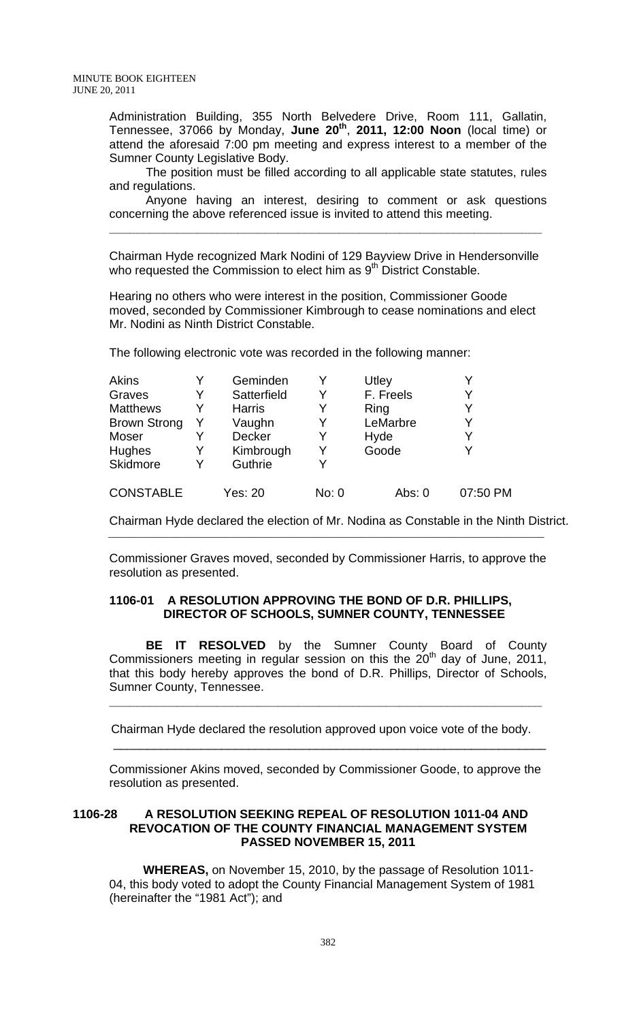Administration Building, 355 North Belvedere Drive, Room 111, Gallatin, Tennessee, 37066 by Monday, **June 20th**, **2011, 12:00 Noon** (local time) or attend the aforesaid 7:00 pm meeting and express interest to a member of the Sumner County Legislative Body.

The position must be filled according to all applicable state statutes, rules and regulations.

Anyone having an interest, desiring to comment or ask questions concerning the above referenced issue is invited to attend this meeting.

Chairman Hyde recognized Mark Nodini of 129 Bayview Drive in Hendersonville who requested the Commission to elect him as 9<sup>th</sup> District Constable.

**\_\_\_\_\_\_\_\_\_\_\_\_\_\_\_\_\_\_\_\_\_\_\_\_\_\_\_\_\_\_\_\_\_\_\_\_\_\_\_\_\_\_\_\_\_\_\_\_\_\_\_\_\_\_\_\_\_\_\_\_\_\_\_\_**

Hearing no others who were interest in the position, Commissioner Goode moved, seconded by Commissioner Kimbrough to cease nominations and elect Mr. Nodini as Ninth District Constable.

The following electronic vote was recorded in the following manner:

| <b>Akins</b>        | Geminden      |       | Utley     |          |
|---------------------|---------------|-------|-----------|----------|
| Graves              | Satterfield   | Y     | F. Freels | Y        |
| <b>Matthews</b>     | <b>Harris</b> | Y     | Ring      | Y        |
| <b>Brown Strong</b> | Vaughn        | Y     | LeMarbre  | Υ        |
| Moser               | <b>Decker</b> | Y     | Hyde      | Y        |
| Hughes              | Kimbrough     | Y     | Goode     |          |
| Skidmore            | Guthrie       | V     |           |          |
| <b>CONSTABLE</b>    | Yes: 20       | No: 0 | Abs: 0    | 07:50 PM |

Chairman Hyde declared the election of Mr. Nodina as Constable in the Ninth District.

Commissioner Graves moved, seconded by Commissioner Harris, to approve the resolution as presented.

\_\_\_\_\_\_\_\_\_\_\_\_\_\_\_\_\_\_\_\_\_\_\_\_\_\_\_\_\_\_\_\_\_\_\_\_\_\_\_\_\_\_\_\_\_\_\_\_\_\_\_\_\_\_\_\_\_\_\_\_\_\_\_\_\_\_\_\_\_\_\_\_\_\_\_\_\_\_\_\_\_\_\_\_\_\_

#### **1106-01 A RESOLUTION APPROVING THE BOND OF D.R. PHILLIPS, DIRECTOR OF SCHOOLS, SUMNER COUNTY, TENNESSEE**

**BE IT RESOLVED** by the Sumner County Board of County Commissioners meeting in regular session on this the  $20<sup>th</sup>$  day of June, 2011, that this body hereby approves the bond of D.R. Phillips, Director of Schools, Sumner County, Tennessee.

Chairman Hyde declared the resolution approved upon voice vote of the body.

 $\overline{\phantom{a}}$  ,  $\overline{\phantom{a}}$  ,  $\overline{\phantom{a}}$  ,  $\overline{\phantom{a}}$  ,  $\overline{\phantom{a}}$  ,  $\overline{\phantom{a}}$  ,  $\overline{\phantom{a}}$  ,  $\overline{\phantom{a}}$  ,  $\overline{\phantom{a}}$  ,  $\overline{\phantom{a}}$  ,  $\overline{\phantom{a}}$  ,  $\overline{\phantom{a}}$  ,  $\overline{\phantom{a}}$  ,  $\overline{\phantom{a}}$  ,  $\overline{\phantom{a}}$  ,  $\overline{\phantom{a}}$ 

**\_\_\_\_\_\_\_\_\_\_\_\_\_\_\_\_\_\_\_\_\_\_\_\_\_\_\_\_\_\_\_\_\_\_\_\_\_\_\_\_\_\_\_\_\_\_\_\_\_\_\_\_\_\_\_\_\_\_\_\_\_\_\_\_**

Commissioner Akins moved, seconded by Commissioner Goode, to approve the resolution as presented.

## **1106-28 A RESOLUTION SEEKING REPEAL OF RESOLUTION 1011-04 AND REVOCATION OF THE COUNTY FINANCIAL MANAGEMENT SYSTEM PASSED NOVEMBER 15, 2011**

 **WHEREAS,** on November 15, 2010, by the passage of Resolution 1011- 04, this body voted to adopt the County Financial Management System of 1981 (hereinafter the "1981 Act"); and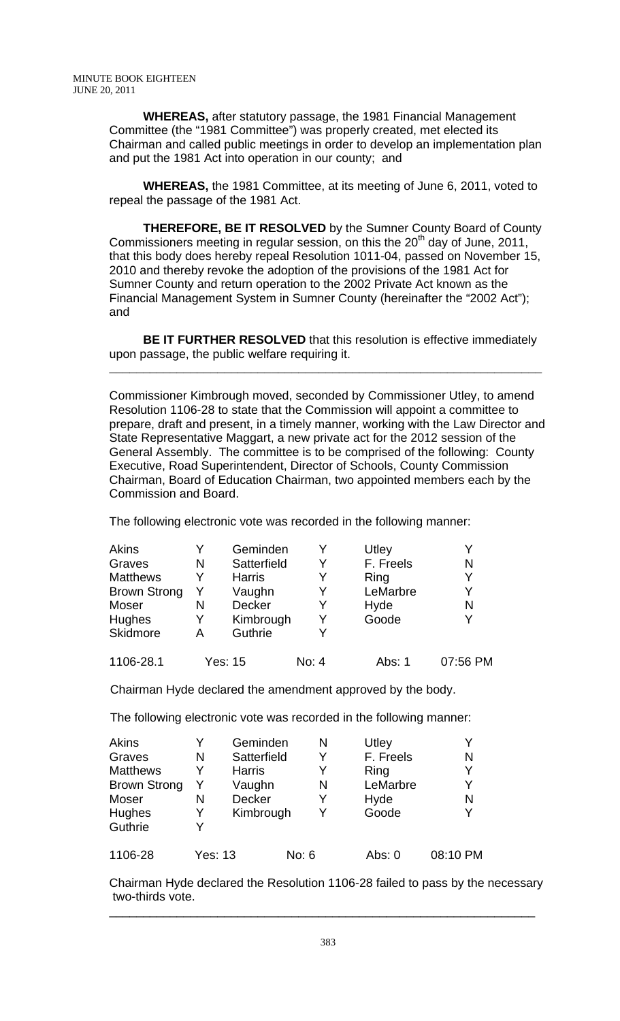**WHEREAS,** after statutory passage, the 1981 Financial Management Committee (the "1981 Committee") was properly created, met elected its Chairman and called public meetings in order to develop an implementation plan and put the 1981 Act into operation in our county; and

 **WHEREAS,** the 1981 Committee, at its meeting of June 6, 2011, voted to repeal the passage of the 1981 Act.

 **THEREFORE, BE IT RESOLVED** by the Sumner County Board of County Commissioners meeting in regular session, on this the  $20<sup>th</sup>$  day of June, 2011, that this body does hereby repeal Resolution 1011-04, passed on November 15, 2010 and thereby revoke the adoption of the provisions of the 1981 Act for Sumner County and return operation to the 2002 Private Act known as the Financial Management System in Sumner County (hereinafter the "2002 Act"); and

**BE IT FURTHER RESOLVED** that this resolution is effective immediately upon passage, the public welfare requiring it.

**\_\_\_\_\_\_\_\_\_\_\_\_\_\_\_\_\_\_\_\_\_\_\_\_\_\_\_\_\_\_\_\_\_\_\_\_\_\_\_\_\_\_\_\_\_\_\_\_\_\_\_\_\_\_\_\_\_\_\_\_\_\_\_\_**

Commissioner Kimbrough moved, seconded by Commissioner Utley, to amend Resolution 1106-28 to state that the Commission will appoint a committee to prepare, draft and present, in a timely manner, working with the Law Director and State Representative Maggart, a new private act for the 2012 session of the General Assembly. The committee is to be comprised of the following: County Executive, Road Superintendent, Director of Schools, County Commission Chairman, Board of Education Chairman, two appointed members each by the Commission and Board.

The following electronic vote was recorded in the following manner:

| Akins               |         | Geminden      |       |   | Utley     |          |
|---------------------|---------|---------------|-------|---|-----------|----------|
| Graves              | N       | Satterfield   |       | Y | F. Freels | N        |
| <b>Matthews</b>     | Y       | <b>Harris</b> |       | Y | Ring      | Y        |
| <b>Brown Strong</b> | Y       | Vaughn        |       | Y | LeMarbre  | Y        |
| Moser               | N       | Decker        |       | Y | Hyde      | N        |
| Hughes              | Y       | Kimbrough     |       | Y | Goode     | Y        |
| Skidmore            | А       | Guthrie       |       | Y |           |          |
| 1106-28.1           | Yes: 15 |               | No: 4 |   | Abs: 1    | 07:56 PM |

Chairman Hyde declared the amendment approved by the body.

The following electronic vote was recorded in the following manner:

| Akins               | Y              | Geminden      |       | N | Utley     |          |
|---------------------|----------------|---------------|-------|---|-----------|----------|
| Graves              | N              | Satterfield   |       | Y | F. Freels | N        |
| <b>Matthews</b>     | Y              | <b>Harris</b> |       | Y | Ring      | Y        |
| <b>Brown Strong</b> | Y              | Vaughn        |       | N | LeMarbre  | Y        |
| Moser               | N              | <b>Decker</b> |       | Y | Hyde      | N        |
| <b>Hughes</b>       | Y              | Kimbrough     |       | Y | Goode     | Y        |
| Guthrie             | Y              |               |       |   |           |          |
| 1106-28             | <b>Yes: 13</b> |               | No: 6 |   | Abs: $0$  | 08:10 PM |

Chairman Hyde declared the Resolution 1106-28 failed to pass by the necessary two-thirds vote.

\_\_\_\_\_\_\_\_\_\_\_\_\_\_\_\_\_\_\_\_\_\_\_\_\_\_\_\_\_\_\_\_\_\_\_\_\_\_\_\_\_\_\_\_\_\_\_\_\_\_\_\_\_\_\_\_\_\_\_\_\_\_\_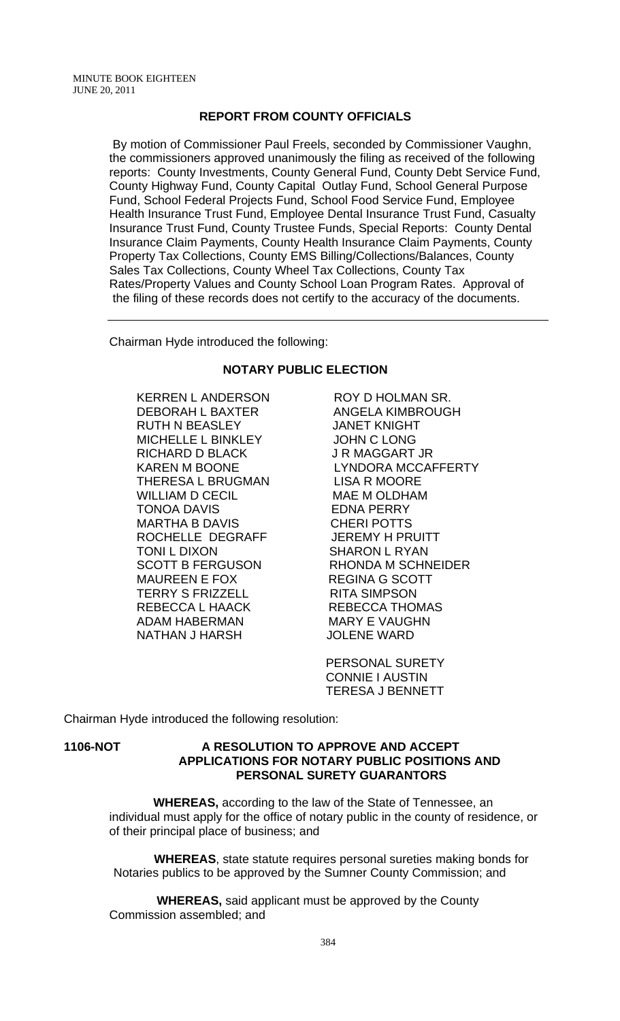## **REPORT FROM COUNTY OFFICIALS**

 By motion of Commissioner Paul Freels, seconded by Commissioner Vaughn, the commissioners approved unanimously the filing as received of the following reports: County Investments, County General Fund, County Debt Service Fund, County Highway Fund, County Capital Outlay Fund, School General Purpose Fund, School Federal Projects Fund, School Food Service Fund, Employee Health Insurance Trust Fund, Employee Dental Insurance Trust Fund, Casualty Insurance Trust Fund, County Trustee Funds, Special Reports: County Dental Insurance Claim Payments, County Health Insurance Claim Payments, County Property Tax Collections, County EMS Billing/Collections/Balances, County Sales Tax Collections, County Wheel Tax Collections, County Tax Rates/Property Values and County School Loan Program Rates. Approval of the filing of these records does not certify to the accuracy of the documents.

Chairman Hyde introduced the following:

#### **NOTARY PUBLIC ELECTION**

DEBORAH L BAXTER ANGELA KIMBROUGH RUTH N BEASLEY JANET KNIGHT MICHELLE L BINKLEY JOHN C LONG RICHARD D BLACK JR MAGGART JR THERESA L BRUGMAN LISA R MOORE WILLIAM D CECIL MAE M OLDHAM TONOA DAVIS EDNA PERRY MARTHA B DAVIS CHERI POTTS ROCHELLE DEGRAFF JEREMY H PRUITT TONI L DIXON SHARON L RYAN MAUREEN E FOX REGINA G SCOTT TERRY S FRIZZELL RITA SIMPSON REBECCA L HAACK REBECCA THOMAS<br>ADAM HABERMAN MARY E VAUGHN ADAM HABERMAN NATHAN J HARSH JOLENE WARD

KERREN LANDERSON ROY D HOLMAN SR. KAREN M BOONE LYNDORA MCCAFFERTY SCOTT B FERGUSON RHONDA M SCHNEIDER

> PERSONAL SURETY CONNIE I AUSTIN TERESA J BENNETT

Chairman Hyde introduced the following resolution:

#### **1106-NOT A RESOLUTION TO APPROVE AND ACCEPT APPLICATIONS FOR NOTARY PUBLIC POSITIONS AND PERSONAL SURETY GUARANTORS**

 **WHEREAS,** according to the law of the State of Tennessee, an individual must apply for the office of notary public in the county of residence, or of their principal place of business; and

 **WHEREAS**, state statute requires personal sureties making bonds for Notaries publics to be approved by the Sumner County Commission; and

 **WHEREAS,** said applicant must be approved by the County Commission assembled; and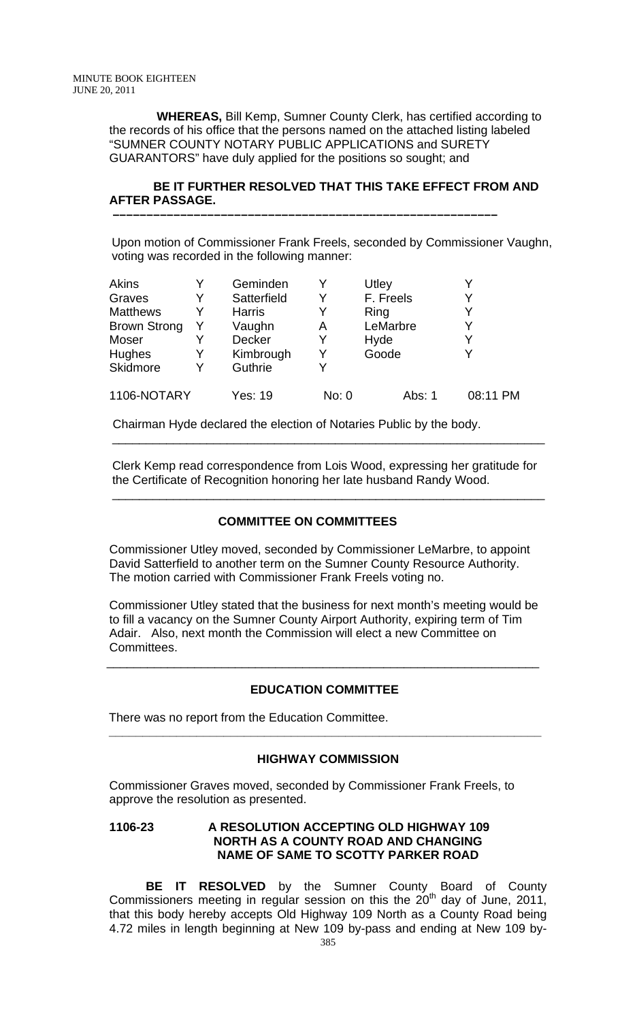**WHEREAS,** Bill Kemp, Sumner County Clerk, has certified according to the records of his office that the persons named on the attached listing labeled "SUMNER COUNTY NOTARY PUBLIC APPLICATIONS and SURETY GUARANTORS" have duly applied for the positions so sought; and

## **BE IT FURTHER RESOLVED THAT THIS TAKE EFFECT FROM AND AFTER PASSAGE.**

 **–––––––––––––––––––––––––––––––––––––––––––––––––––––––––**

 Upon motion of Commissioner Frank Freels, seconded by Commissioner Vaughn, voting was recorded in the following manner:

| <b>Akins</b>        |   | Geminden      |       | <b>Utley</b> |          |
|---------------------|---|---------------|-------|--------------|----------|
| Graves              | Y | Satterfield   | Y     | F. Freels    |          |
| <b>Matthews</b>     |   | <b>Harris</b> | Y     | Ring         |          |
| <b>Brown Strong</b> |   | Vaughn        | Α     | LeMarbre     | v        |
| Moser               |   | <b>Decker</b> | Y     | Hyde         | V        |
| <b>Hughes</b>       | Y | Kimbrough     | Y     | Goode        |          |
| <b>Skidmore</b>     | Y | Guthrie       | Y     |              |          |
| 1106-NOTARY         |   | Yes: 19       | No: 0 | Abs: 1       | 08:11 PM |

Chairman Hyde declared the election of Notaries Public by the body.

\_\_\_\_\_\_\_\_\_\_\_\_\_\_\_\_\_\_\_\_\_\_\_\_\_\_\_\_\_\_\_\_\_\_\_\_\_\_\_\_\_\_\_\_\_\_\_\_\_\_\_\_\_\_\_\_\_\_\_\_\_\_\_\_

 Clerk Kemp read correspondence from Lois Wood, expressing her gratitude for the Certificate of Recognition honoring her late husband Randy Wood.

#### **COMMITTEE ON COMMITTEES**

\_\_\_\_\_\_\_\_\_\_\_\_\_\_\_\_\_\_\_\_\_\_\_\_\_\_\_\_\_\_\_\_\_\_\_\_\_\_\_\_\_\_\_\_\_\_\_\_\_\_\_\_\_\_\_\_\_\_\_\_\_\_\_\_

Commissioner Utley moved, seconded by Commissioner LeMarbre, to appoint David Satterfield to another term on the Sumner County Resource Authority. The motion carried with Commissioner Frank Freels voting no.

Commissioner Utley stated that the business for next month's meeting would be to fill a vacancy on the Sumner County Airport Authority, expiring term of Tim Adair. Also, next month the Commission will elect a new Committee on Committees.

#### **EDUCATION COMMITTEE**

 $\overline{\phantom{a}}$  , and the contribution of the contribution of the contribution of the contribution of the contribution of the contribution of the contribution of the contribution of the contribution of the contribution of the

 **\_\_\_\_\_\_\_\_\_\_\_\_\_\_\_\_\_\_\_\_\_\_\_\_\_\_\_\_\_\_\_\_\_\_\_\_\_\_\_\_\_\_\_\_\_\_\_\_\_\_\_\_\_\_\_\_\_\_\_\_\_\_\_\_** 

There was no report from the Education Committee.

#### **HIGHWAY COMMISSION**

Commissioner Graves moved, seconded by Commissioner Frank Freels, to approve the resolution as presented.

## **1106-23 A RESOLUTION ACCEPTING OLD HIGHWAY 109 NORTH AS A COUNTY ROAD AND CHANGING NAME OF SAME TO SCOTTY PARKER ROAD**

**BE IT RESOLVED** by the Sumner County Board of County Commissioners meeting in regular session on this the  $20<sup>th</sup>$  day of June, 2011, that this body hereby accepts Old Highway 109 North as a County Road being 4.72 miles in length beginning at New 109 by-pass and ending at New 109 by-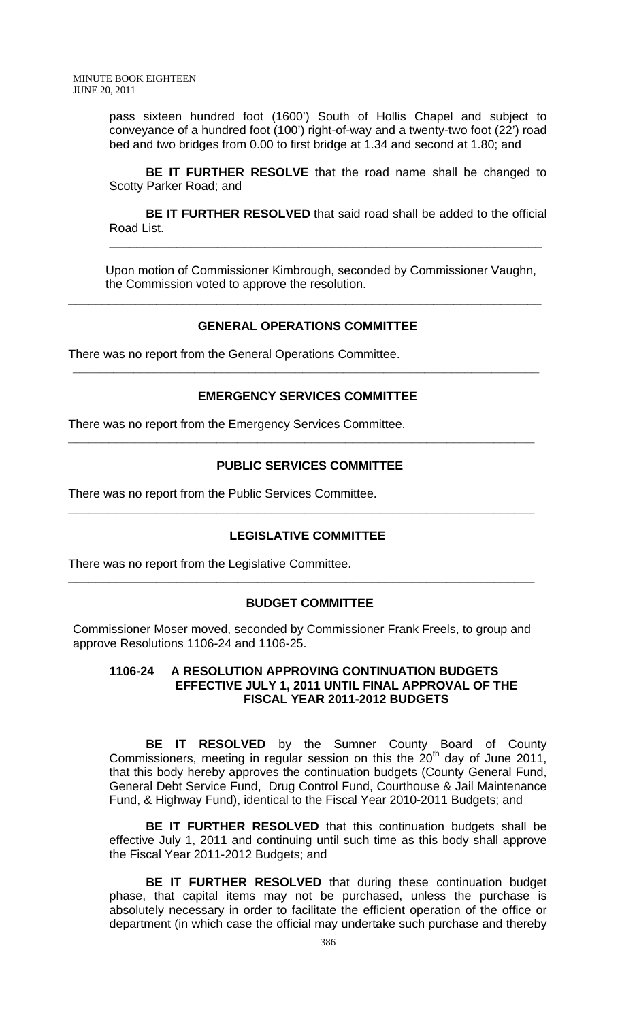pass sixteen hundred foot (1600') South of Hollis Chapel and subject to conveyance of a hundred foot (100') right-of-way and a twenty-two foot (22') road bed and two bridges from 0.00 to first bridge at 1.34 and second at 1.80; and

**BE IT FURTHER RESOLVE** that the road name shall be changed to Scotty Parker Road; and

**BE IT FURTHER RESOLVED** that said road shall be added to the official Road List.

**\_\_\_\_\_\_\_\_\_\_\_\_\_\_\_\_\_\_\_\_\_\_\_\_\_\_\_\_\_\_\_\_\_\_\_\_\_\_\_\_\_\_\_\_\_\_\_\_\_\_\_\_\_\_\_\_\_\_\_\_\_\_\_\_**

 Upon motion of Commissioner Kimbrough, seconded by Commissioner Vaughn, the Commission voted to approve the resolution.

#### **GENERAL OPERATIONS COMMITTEE**

\_\_\_\_\_\_\_\_\_\_\_\_\_\_\_\_\_\_\_\_\_\_\_\_\_\_\_\_\_\_\_\_\_\_\_\_\_\_\_\_\_\_\_\_\_\_\_\_\_\_\_\_\_\_\_\_\_\_\_\_\_\_\_\_\_\_\_\_\_\_

There was no report from the General Operations Committee.

#### **EMERGENCY SERVICES COMMITTEE**

**\_\_\_\_\_\_\_\_\_\_\_\_\_\_\_\_\_\_\_\_\_\_\_\_\_\_\_\_\_\_\_\_\_\_\_\_\_\_\_\_\_\_\_\_\_\_\_\_\_\_\_\_\_\_\_\_\_\_\_\_\_\_\_\_\_\_\_\_\_** 

There was no report from the Emergency Services Committee.

#### **PUBLIC SERVICES COMMITTEE**

**\_\_\_\_\_\_\_\_\_\_\_\_\_\_\_\_\_\_\_\_\_\_\_\_\_\_\_\_\_\_\_\_\_\_\_\_\_\_\_\_\_\_\_\_\_\_\_\_\_\_\_\_\_\_\_\_\_\_\_\_\_\_\_\_\_\_\_\_\_** 

There was no report from the Public Services Committee.

#### **LEGISLATIVE COMMITTEE**

**\_\_\_\_\_\_\_\_\_\_\_\_\_\_\_\_\_\_\_\_\_\_\_\_\_\_\_\_\_\_\_\_\_\_\_\_\_\_\_\_\_\_\_\_\_\_\_\_\_\_\_\_\_\_\_\_\_\_\_\_\_\_\_\_\_\_\_\_\_** 

There was no report from the Legislative Committee.

#### **BUDGET COMMITTEE**

Commissioner Moser moved, seconded by Commissioner Frank Freels, to group and approve Resolutions 1106-24 and 1106-25.

**\_\_\_\_\_\_\_\_\_\_\_\_\_\_\_\_\_\_\_\_\_\_\_\_\_\_\_\_\_\_\_\_\_\_\_\_\_\_\_\_\_\_\_\_\_\_\_\_\_\_\_\_\_\_\_\_\_\_\_\_\_\_\_\_\_\_\_\_\_** 

## **1106-24 A RESOLUTION APPROVING CONTINUATION BUDGETS EFFECTIVE JULY 1, 2011 UNTIL FINAL APPROVAL OF THE FISCAL YEAR 2011-2012 BUDGETS**

**BE IT RESOLVED** by the Sumner County Board of County Commissioners, meeting in regular session on this the  $20<sup>th</sup>$  day of June 2011, that this body hereby approves the continuation budgets (County General Fund, General Debt Service Fund, Drug Control Fund, Courthouse & Jail Maintenance Fund, & Highway Fund), identical to the Fiscal Year 2010-2011 Budgets; and

**BE IT FURTHER RESOLVED** that this continuation budgets shall be effective July 1, 2011 and continuing until such time as this body shall approve the Fiscal Year 2011-2012 Budgets; and

**BE IT FURTHER RESOLVED** that during these continuation budget phase, that capital items may not be purchased, unless the purchase is absolutely necessary in order to facilitate the efficient operation of the office or department (in which case the official may undertake such purchase and thereby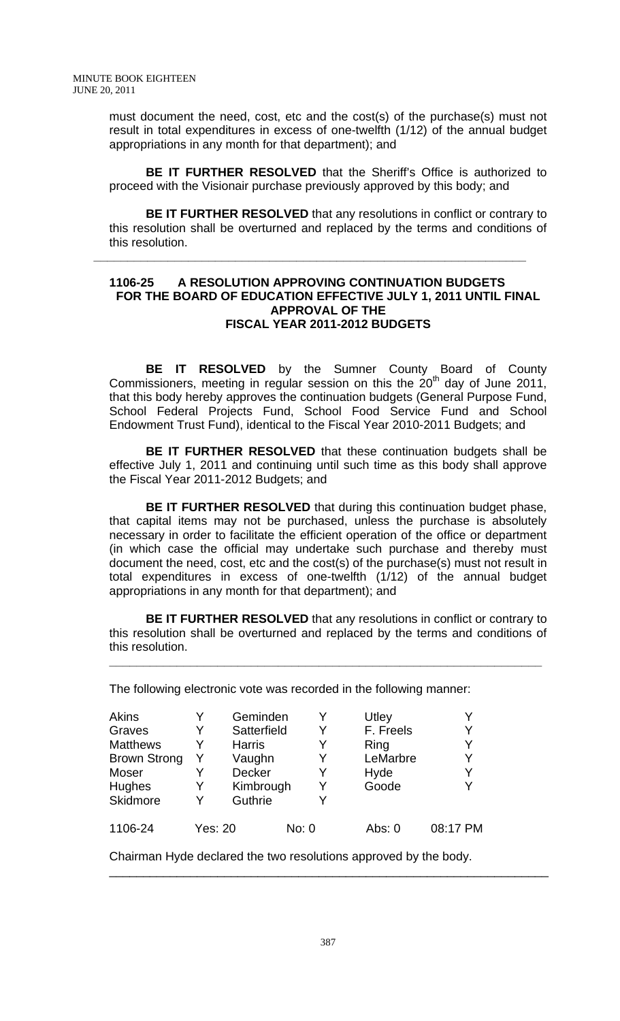must document the need, cost, etc and the cost(s) of the purchase(s) must not result in total expenditures in excess of one-twelfth (1/12) of the annual budget appropriations in any month for that department); and

**BE IT FURTHER RESOLVED** that the Sheriff's Office is authorized to proceed with the Visionair purchase previously approved by this body; and

**BE IT FURTHER RESOLVED** that any resolutions in conflict or contrary to this resolution shall be overturned and replaced by the terms and conditions of this resolution.

#### **1106-25 A RESOLUTION APPROVING CONTINUATION BUDGETS FOR THE BOARD OF EDUCATION EFFECTIVE JULY 1, 2011 UNTIL FINAL APPROVAL OF THE FISCAL YEAR 2011-2012 BUDGETS**

**\_\_\_\_\_\_\_\_\_\_\_\_\_\_\_\_\_\_\_\_\_\_\_\_\_\_\_\_\_\_\_\_\_\_\_\_\_\_\_\_\_\_\_\_\_\_\_\_\_\_\_\_\_\_\_\_\_\_\_\_\_\_\_\_** 

**BE IT RESOLVED** by the Sumner County Board of County Commissioners, meeting in regular session on this the  $20<sup>th</sup>$  day of June 2011, that this body hereby approves the continuation budgets (General Purpose Fund, School Federal Projects Fund, School Food Service Fund and School Endowment Trust Fund), identical to the Fiscal Year 2010-2011 Budgets; and

**BE IT FURTHER RESOLVED** that these continuation budgets shall be effective July 1, 2011 and continuing until such time as this body shall approve the Fiscal Year 2011-2012 Budgets; and

**BE IT FURTHER RESOLVED** that during this continuation budget phase, that capital items may not be purchased, unless the purchase is absolutely necessary in order to facilitate the efficient operation of the office or department (in which case the official may undertake such purchase and thereby must document the need, cost, etc and the cost(s) of the purchase(s) must not result in total expenditures in excess of one-twelfth (1/12) of the annual budget appropriations in any month for that department); and

**BE IT FURTHER RESOLVED** that any resolutions in conflict or contrary to this resolution shall be overturned and replaced by the terms and conditions of this resolution.

**\_\_\_\_\_\_\_\_\_\_\_\_\_\_\_\_\_\_\_\_\_\_\_\_\_\_\_\_\_\_\_\_\_\_\_\_\_\_\_\_\_\_\_\_\_\_\_\_\_\_\_\_\_\_\_\_\_\_\_\_\_\_\_\_**

The following electronic vote was recorded in the following manner:

| Akins<br>Graves<br><b>Matthews</b><br><b>Brown Strong</b><br>Moser<br><b>Hughes</b><br>Skidmore | Y<br>Y<br>Y<br>Y<br>Y<br>Y<br>Y | Geminden<br>Satterfield<br><b>Harris</b><br>Vaughn<br><b>Decker</b><br>Kimbrough<br>Guthrie |       | Y<br>Y<br>Y<br>Y<br>Y<br>Y<br>Y | Utley<br>F. Freels<br>Ring<br>LeMarbre<br>Hyde<br>Goode | Y<br>Y<br>Y<br>V |
|-------------------------------------------------------------------------------------------------|---------------------------------|---------------------------------------------------------------------------------------------|-------|---------------------------------|---------------------------------------------------------|------------------|
| 1106-24                                                                                         | Yes: 20                         |                                                                                             | No: 0 |                                 | Abs: $0$                                                | 08:17 PM         |

Chairman Hyde declared the two resolutions approved by the body.

\_\_\_\_\_\_\_\_\_\_\_\_\_\_\_\_\_\_\_\_\_\_\_\_\_\_\_\_\_\_\_\_\_\_\_\_\_\_\_\_\_\_\_\_\_\_\_\_\_\_\_\_\_\_\_\_\_\_\_\_\_\_\_\_\_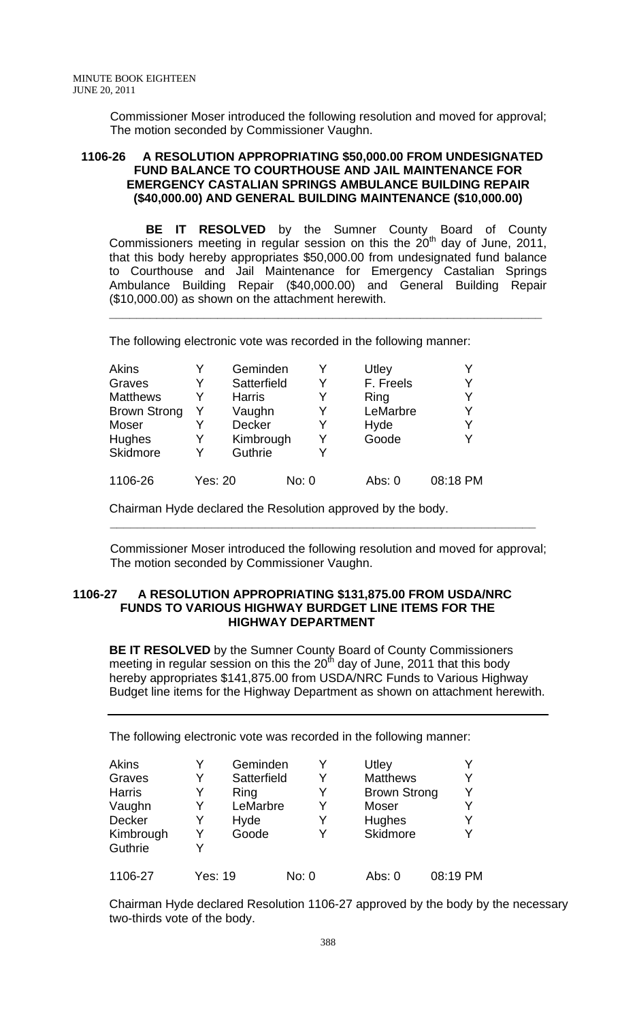Commissioner Moser introduced the following resolution and moved for approval; The motion seconded by Commissioner Vaughn.

#### **1106-26 A RESOLUTION APPROPRIATING \$50,000.00 FROM UNDESIGNATED FUND BALANCE TO COURTHOUSE AND JAIL MAINTENANCE FOR EMERGENCY CASTALIAN SPRINGS AMBULANCE BUILDING REPAIR (\$40,000.00) AND GENERAL BUILDING MAINTENANCE (\$10,000.00)**

 **BE IT RESOLVED** by the Sumner County Board of County Commissioners meeting in regular session on this the  $20<sup>th</sup>$  day of June, 2011, that this body hereby appropriates \$50,000.00 from undesignated fund balance to Courthouse and Jail Maintenance for Emergency Castalian Springs Ambulance Building Repair (\$40,000.00) and General Building Repair (\$10,000.00) as shown on the attachment herewith.

**\_\_\_\_\_\_\_\_\_\_\_\_\_\_\_\_\_\_\_\_\_\_\_\_\_\_\_\_\_\_\_\_\_\_\_\_\_\_\_\_\_\_\_\_\_\_\_\_\_\_\_\_\_\_\_\_\_\_\_\_\_\_\_\_**

The following electronic vote was recorded in the following manner:

| <b>Akins</b>        |         | Geminden      |       |   | Utley     |          |
|---------------------|---------|---------------|-------|---|-----------|----------|
| Graves              |         | Satterfield   |       | Y | F. Freels |          |
| <b>Matthews</b>     |         | <b>Harris</b> |       | Y | Ring      |          |
| <b>Brown Strong</b> |         | Vaughn        |       | Y | LeMarbre  |          |
| Moser               |         | Decker        |       | Y | Hyde      |          |
| <b>Hughes</b>       | Y       | Kimbrough     |       | Y | Goode     |          |
| <b>Skidmore</b>     | Y       | Guthrie       |       | Y |           |          |
| 1106-26             | Yes: 20 |               | No: 0 |   | Abs: $0$  | 08:18 PM |

 **\_\_\_\_\_\_\_\_\_\_\_\_\_\_\_\_\_\_\_\_\_\_\_\_\_\_\_\_\_\_\_\_\_\_\_\_\_\_\_\_\_\_\_\_\_\_\_\_\_\_\_\_\_\_\_\_\_\_\_\_\_\_\_** 

Chairman Hyde declared the Resolution approved by the body.

 Commissioner Moser introduced the following resolution and moved for approval; The motion seconded by Commissioner Vaughn.

#### **1106-27 A RESOLUTION APPROPRIATING \$131,875.00 FROM USDA/NRC FUNDS TO VARIOUS HIGHWAY BURDGET LINE ITEMS FOR THE HIGHWAY DEPARTMENT**

**BE IT RESOLVED** by the Sumner County Board of County Commissioners meeting in regular session on this the  $20<sup>th</sup>$  day of June, 2011 that this body hereby appropriates \$141,875.00 from USDA/NRC Funds to Various Highway Budget line items for the Highway Department as shown on attachment herewith.

The following electronic vote was recorded in the following manner:

| Akins<br>Graves<br><b>Harris</b><br>Vaughn<br>Decker<br>Kimbrough | Y<br>Y<br>Y<br>Y<br>Y<br>Y | Geminden<br>Satterfield<br>Ring<br>LeMarbre<br>Hyde<br>Goode | Y<br>Y<br>Y<br>Y<br>Y<br>Y | Utley<br><b>Matthews</b><br><b>Brown Strong</b><br>Moser<br>Hughes<br><b>Skidmore</b> | Y<br>Y   |
|-------------------------------------------------------------------|----------------------------|--------------------------------------------------------------|----------------------------|---------------------------------------------------------------------------------------|----------|
| Guthrie                                                           | V                          |                                                              |                            |                                                                                       |          |
| 1106-27                                                           | Yes: 19                    |                                                              | No: 0                      | Abs: 0                                                                                | 08:19 PM |

Chairman Hyde declared Resolution 1106-27 approved by the body by the necessary two-thirds vote of the body.